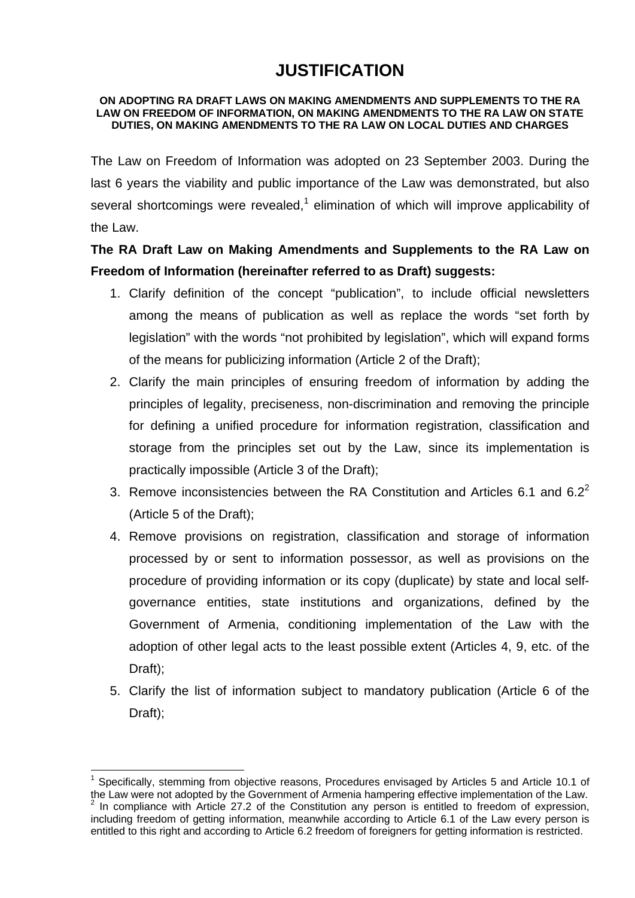## **JUSTIFICATION**

## **ON ADOPTING RA DRAFT LAWS ON MAKING AMENDMENTS AND SUPPLEMENTS TO THE RA LAW ON FREEDOM OF INFORMATION, ON MAKING AMENDMENTS TO THE RA LAW ON STATE DUTIES, ON MAKING AMENDMENTS TO THE RA LAW ON LOCAL DUTIES AND CHARGES**

The Law on Freedom of Information was adopted on 23 September 2003. During the last 6 years the viability and public importance of the Law was demonstrated, but also several shortcomings were revealed,<sup>1</sup> elimination of which will improve applicability of the Law.

## **The RA Draft Law on Making Amendments and Supplements to the RA Law on Freedom of Information (hereinafter referred to as Draft) suggests:**

- 1. Clarify definition of the concept "publication", to include official newsletters among the means of publication as well as replace the words "set forth by legislation" with the words "not prohibited by legislation", which will expand forms of the means for publicizing information (Article 2 of the Draft);
- 2. Clarify the main principles of ensuring freedom of information by adding the principles of legality, preciseness, non-discrimination and removing the principle for defining a unified procedure for information registration, classification and storage from the principles set out by the Law, since its implementation is practically impossible (Article 3 of the Draft);
- 3. Remove inconsistencies between the RA Constitution and Articles 6.1 and  $6.2<sup>2</sup>$ (Article 5 of the Draft);
- 4. Remove provisions on registration, classification and storage of information processed by or sent to information possessor, as well as provisions on the procedure of providing information or its copy (duplicate) by state and local selfgovernance entities, state institutions and organizations, defined by the Government of Armenia, conditioning implementation of the Law with the adoption of other legal acts to the least possible extent (Articles 4, 9, etc. of the Draft);
- 5. Clarify the list of information subject to mandatory publication (Article 6 of the Draft);

 $\overline{a}$ 

<sup>1</sup> Specifically, stemming from objective reasons, Procedures envisaged by Articles 5 and Article 10.1 of the Law were not adopted by the Government of Armenia hampering effective implementation of the Law. 2  $2$  In compliance with Article 27.2 of the Constitution any person is entitled to freedom of expression, including freedom of getting information, meanwhile according to Article 6.1 of the Law every person is entitled to this right and according to Article 6.2 freedom of foreigners for getting information is restricted.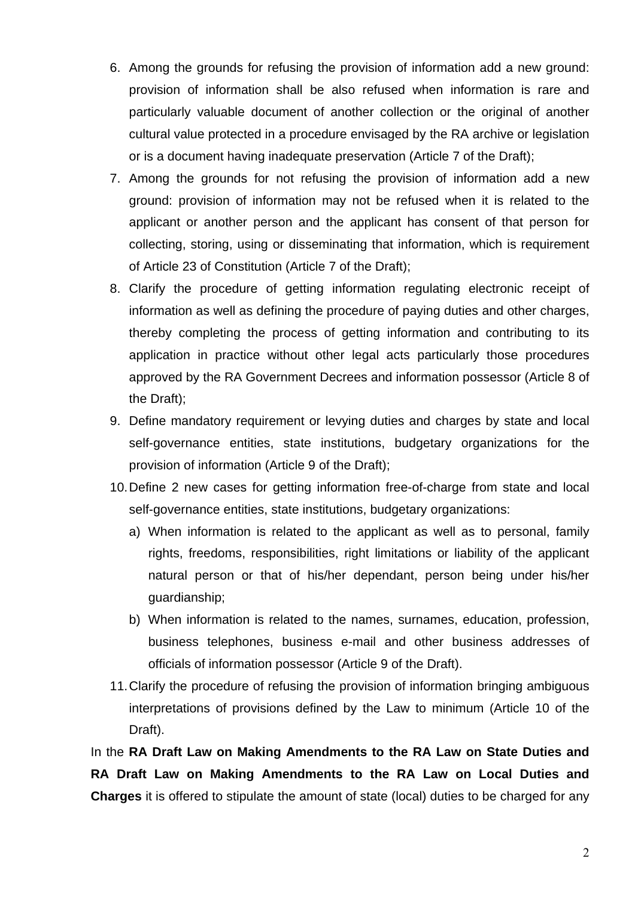- 6. Among the grounds for refusing the provision of information add a new ground: provision of information shall be also refused when information is rare and particularly valuable document of another collection or the original of another cultural value protected in a procedure envisaged by the RA archive or legislation or is a document having inadequate preservation (Article 7 of the Draft);
- 7. Among the grounds for not refusing the provision of information add a new ground: provision of information may not be refused when it is related to the applicant or another person and the applicant has consent of that person for collecting, storing, using or disseminating that information, which is requirement of Article 23 of Constitution (Article 7 of the Draft);
- 8. Clarify the procedure of getting information regulating electronic receipt of information as well as defining the procedure of paying duties and other charges, thereby completing the process of getting information and contributing to its application in practice without other legal acts particularly those procedures approved by the RA Government Decrees and information possessor (Article 8 of the Draft);
- 9. Define mandatory requirement or levying duties and charges by state and local self-governance entities, state institutions, budgetary organizations for the provision of information (Article 9 of the Draft);
- 10. Define 2 new cases for getting information free-of-charge from state and local self-governance entities, state institutions, budgetary organizations:
	- a) When information is related to the applicant as well as to personal, family rights, freedoms, responsibilities, right limitations or liability of the applicant natural person or that of his/her dependant, person being under his/her guardianship;
	- b) When information is related to the names, surnames, education, profession, business telephones, business e-mail and other business addresses of officials of information possessor (Article 9 of the Draft).
- 11. Clarify the procedure of refusing the provision of information bringing ambiguous interpretations of provisions defined by the Law to minimum (Article 10 of the Draft).

In the **RA Draft Law on Making Amendments to the RA Law on State Duties and RA Draft Law on Making Amendments to the RA Law on Local Duties and Charges** it is offered to stipulate the amount of state (local) duties to be charged for any